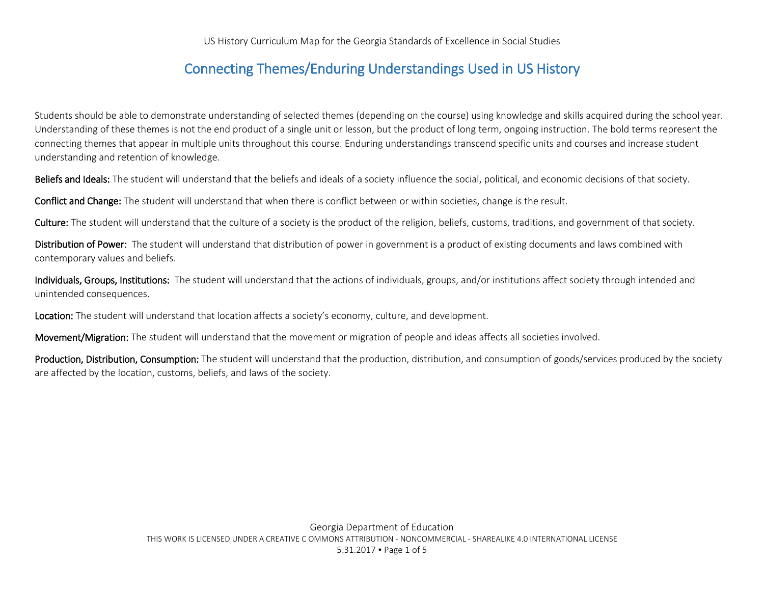## Connecting Themes/Enduring Understandings Used in US History

Students should be able to demonstrate understanding of selected themes (depending on the course) using knowledge and skills acquired during the school year. Understanding of these themes is not the end product of a single unit or lesson, but the product of long term, ongoing instruction. The bold terms represent the connecting themes that appear in multiple units throughout this course. Enduring understandings transcend specific units and courses and increase student understanding and retention of knowledge.

Beliefs and Ideals: The student will understand that the beliefs and ideals of a society influence the social, political, and economic decisions of that society.

Conflict and Change: The student will understand that when there is conflict between or within societies, change is the result.

Culture: The student will understand that the culture of a society is the product of the religion, beliefs, customs, traditions, and government of that society.

Distribution of Power: The student will understand that distribution of power in government is a product of existing documents and laws combined with contemporary values and beliefs.

Individuals, Groups, Institutions: The student will understand that the actions of individuals, groups, and/or institutions affect society through intended and unintended consequences.

Location: The student will understand that location affects a society's economy, culture, and development.

Movement/Migration: The student will understand that the movement or migration of people and ideas affects all societies involved.

Production, Distribution, Consumption: The student will understand that the production, distribution, and consumption of goods/services produced by the society are affected by the location, customs, beliefs, and laws of the society.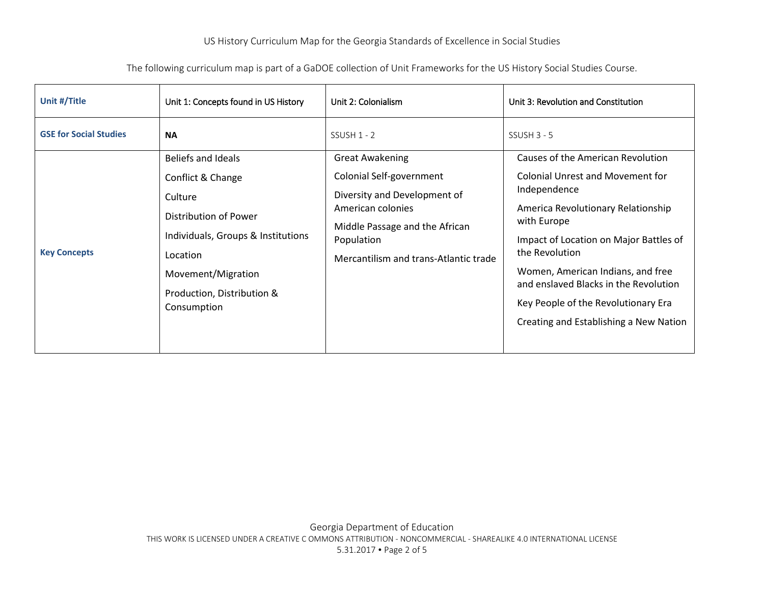## US History Curriculum Map for the Georgia Standards of Excellence in Social Studies

## The following curriculum map is part of a GaDOE collection of Unit Frameworks for the US History Social Studies Course.

| Unit #/Title                  | Unit 1: Concepts found in US History                                                                                                                                              | Unit 2: Colonialism                                                                                                                                                                              | Unit 3: Revolution and Constitution                                                                                                                                                                                                                                                                                                                                   |
|-------------------------------|-----------------------------------------------------------------------------------------------------------------------------------------------------------------------------------|--------------------------------------------------------------------------------------------------------------------------------------------------------------------------------------------------|-----------------------------------------------------------------------------------------------------------------------------------------------------------------------------------------------------------------------------------------------------------------------------------------------------------------------------------------------------------------------|
| <b>GSE for Social Studies</b> | <b>NA</b>                                                                                                                                                                         | $SSUSH 1 - 2$                                                                                                                                                                                    | $SSUSH 3 - 5$                                                                                                                                                                                                                                                                                                                                                         |
| <b>Key Concepts</b>           | Beliefs and Ideals<br>Conflict & Change<br>Culture<br>Distribution of Power<br>Individuals, Groups & Institutions<br>Location<br>Movement/Migration<br>Production, Distribution & | <b>Great Awakening</b><br>Colonial Self-government<br>Diversity and Development of<br>American colonies<br>Middle Passage and the African<br>Population<br>Mercantilism and trans-Atlantic trade | Causes of the American Revolution<br>Colonial Unrest and Movement for<br>Independence<br>America Revolutionary Relationship<br>with Europe<br>Impact of Location on Major Battles of<br>the Revolution<br>Women, American Indians, and free<br>and enslaved Blacks in the Revolution<br>Key People of the Revolutionary Era<br>Creating and Establishing a New Nation |
|                               | Consumption                                                                                                                                                                       |                                                                                                                                                                                                  |                                                                                                                                                                                                                                                                                                                                                                       |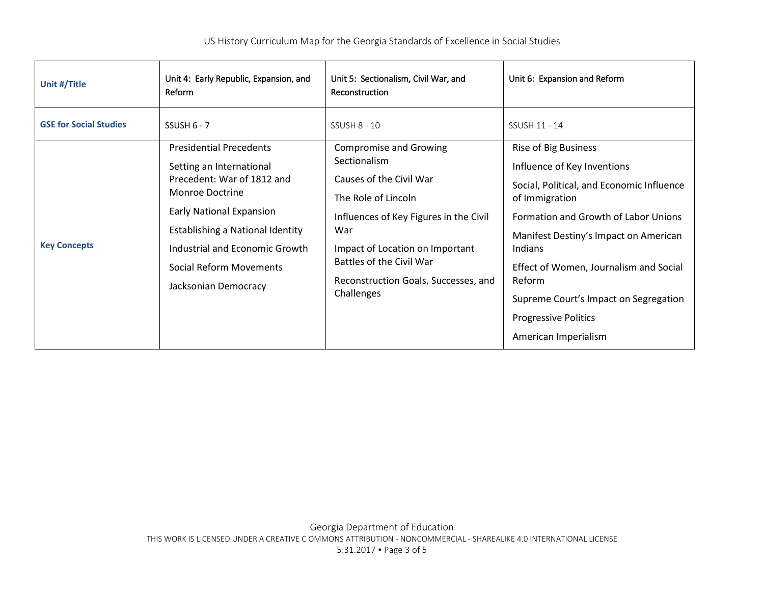| Unit #/Title                  | Unit 4: Early Republic, Expansion, and<br>Reform                                                                                                                                                                                                                        | Unit 5: Sectionalism, Civil War, and<br>Reconstruction                                                                                                                                                                                                                | Unit 6: Expansion and Reform                                                                                                                                                                                                                                       |
|-------------------------------|-------------------------------------------------------------------------------------------------------------------------------------------------------------------------------------------------------------------------------------------------------------------------|-----------------------------------------------------------------------------------------------------------------------------------------------------------------------------------------------------------------------------------------------------------------------|--------------------------------------------------------------------------------------------------------------------------------------------------------------------------------------------------------------------------------------------------------------------|
| <b>GSE for Social Studies</b> | SSUSH $6 - 7$                                                                                                                                                                                                                                                           | <b>SSUSH 8 - 10</b>                                                                                                                                                                                                                                                   | SSUSH 11 - 14                                                                                                                                                                                                                                                      |
| <b>Key Concepts</b>           | <b>Presidential Precedents</b><br>Setting an International<br>Precedent: War of 1812 and<br>Monroe Doctrine<br><b>Early National Expansion</b><br>Establishing a National Identity<br>Industrial and Economic Growth<br>Social Reform Movements<br>Jacksonian Democracy | <b>Compromise and Growing</b><br>Sectionalism<br>Causes of the Civil War<br>The Role of Lincoln<br>Influences of Key Figures in the Civil<br>War<br>Impact of Location on Important<br>Battles of the Civil War<br>Reconstruction Goals, Successes, and<br>Challenges | Rise of Big Business<br>Influence of Key Inventions<br>Social, Political, and Economic Influence<br>of Immigration<br>Formation and Growth of Labor Unions<br>Manifest Destiny's Impact on American<br>Indians<br>Effect of Women, Journalism and Social<br>Reform |
|                               |                                                                                                                                                                                                                                                                         |                                                                                                                                                                                                                                                                       | Supreme Court's Impact on Segregation<br><b>Progressive Politics</b><br>American Imperialism                                                                                                                                                                       |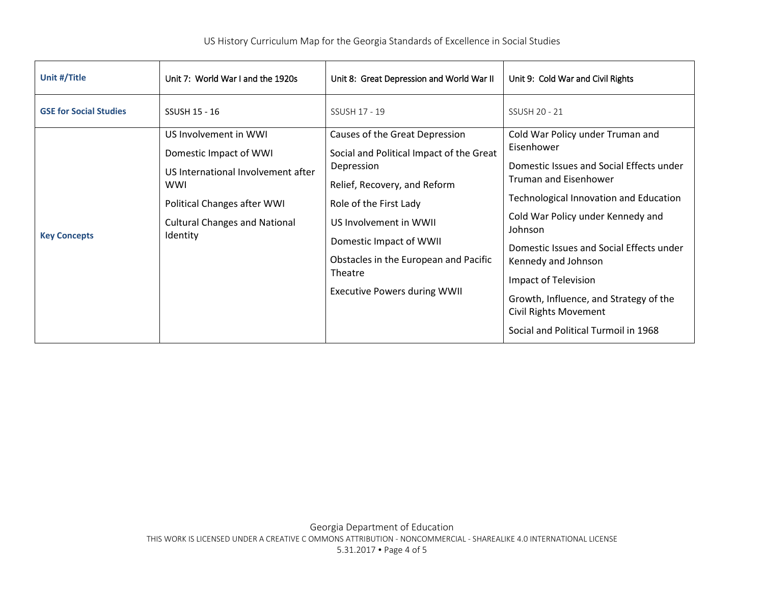| Unit #/Title                  | Unit 7: World War I and the 1920s                                                                                                                                                      | Unit 8: Great Depression and World War II                                                                                                                                                                                                                                                          | Unit 9: Cold War and Civil Rights                                                                                                                                                                                                                                                                                                                                                                                          |
|-------------------------------|----------------------------------------------------------------------------------------------------------------------------------------------------------------------------------------|----------------------------------------------------------------------------------------------------------------------------------------------------------------------------------------------------------------------------------------------------------------------------------------------------|----------------------------------------------------------------------------------------------------------------------------------------------------------------------------------------------------------------------------------------------------------------------------------------------------------------------------------------------------------------------------------------------------------------------------|
| <b>GSE for Social Studies</b> | <b>SSUSH 15 - 16</b>                                                                                                                                                                   | SSUSH 17 - 19                                                                                                                                                                                                                                                                                      | SSUSH 20 - 21                                                                                                                                                                                                                                                                                                                                                                                                              |
| <b>Key Concepts</b>           | US Involvement in WWI<br>Domestic Impact of WWI<br>US International Involvement after<br><b>WWI</b><br>Political Changes after WWI<br><b>Cultural Changes and National</b><br>Identity | Causes of the Great Depression<br>Social and Political Impact of the Great<br>Depression<br>Relief, Recovery, and Reform<br>Role of the First Lady<br>US Involvement in WWII<br>Domestic Impact of WWII<br>Obstacles in the European and Pacific<br>Theatre<br><b>Executive Powers during WWII</b> | Cold War Policy under Truman and<br>Eisenhower<br>Domestic Issues and Social Effects under<br><b>Truman and Eisenhower</b><br>Technological Innovation and Education<br>Cold War Policy under Kennedy and<br>Johnson<br>Domestic Issues and Social Effects under<br>Kennedy and Johnson<br>Impact of Television<br>Growth, Influence, and Strategy of the<br>Civil Rights Movement<br>Social and Political Turmoil in 1968 |